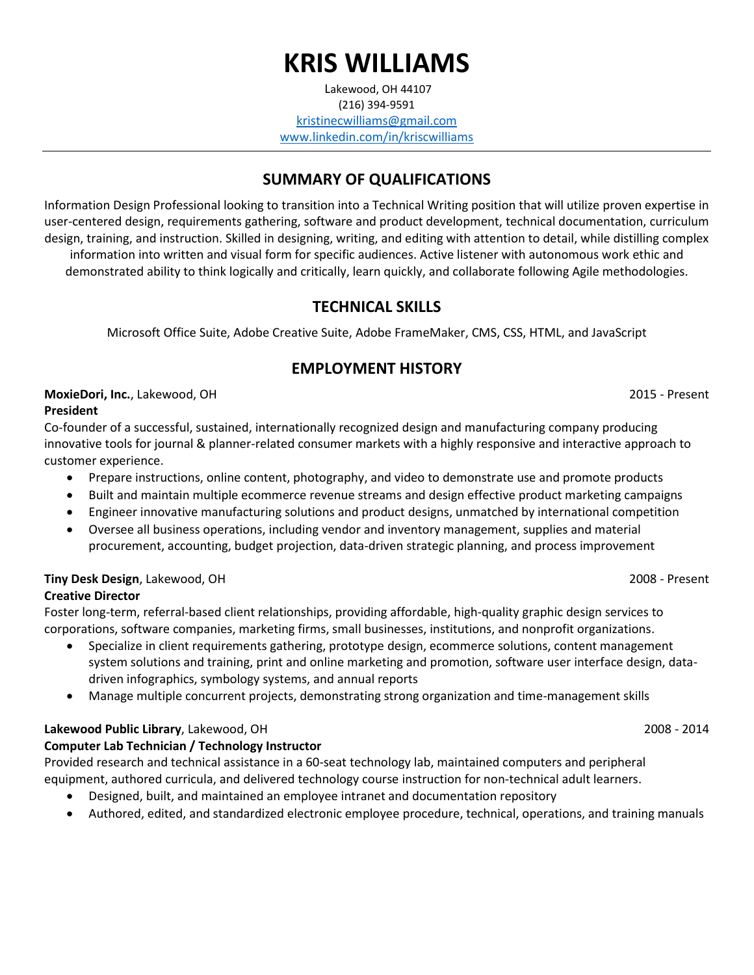# **KRIS WILLIAMS**

Lakewood, OH 44107 (216) 394-9591 [kristinecwilliams@gmail.com](mailto:kristinecwilliams@gmail.com)  [www.linkedin.com/in/kriscwilliams](http://www.linkedin.com/in/kriscwilliams)

# **SUMMARY OF QUALIFICATIONS**

Information Design Professional looking to transition into a Technical Writing position that will utilize proven expertise in user-centered design, requirements gathering, software and product development, technical documentation, curriculum design, training, and instruction. Skilled in designing, writing, and editing with attention to detail, while distilling complex information into written and visual form for specific audiences. Active listener with autonomous work ethic and demonstrated ability to think logically and critically, learn quickly, and collaborate following Agile methodologies.

# **TECHNICAL SKILLS**

Microsoft Office Suite, Adobe Creative Suite, Adobe FrameMaker, CMS, CSS, HTML, and JavaScript

# **EMPLOYMENT HISTORY**

**MoxieDori, Inc.**, Lakewood, OH 2015 - Present **President**

Co-founder of a successful, sustained, internationally recognized design and manufacturing company producing innovative tools for journal & planner-related consumer markets with a highly responsive and interactive approach to customer experience.

- Prepare instructions, online content, photography, and video to demonstrate use and promote products
- Built and maintain multiple ecommerce revenue streams and design effective product marketing campaigns
- Engineer innovative manufacturing solutions and product designs, unmatched by international competition
- Oversee all business operations, including vendor and inventory management, supplies and material procurement, accounting, budget projection, data-driven strategic planning, and process improvement

# **Tiny Desk Design**, Lakewood, OH 2008 - Present

#### **Creative Director**

Foster long-term, referral-based client relationships, providing affordable, high-quality graphic design services to corporations, software companies, marketing firms, small businesses, institutions, and nonprofit organizations.

- Specialize in client requirements gathering, prototype design, ecommerce solutions, content management system solutions and training, print and online marketing and promotion, software user interface design, datadriven infographics, symbology systems, and annual reports
- Manage multiple concurrent projects, demonstrating strong organization and time-management skills

#### **Lakewood Public Library**, Lakewood, OH 2008 - 2014

#### **Computer Lab Technician / Technology Instructor**

Provided research and technical assistance in a 60-seat technology lab, maintained computers and peripheral equipment, authored curricula, and delivered technology course instruction for non-technical adult learners.

- Designed, built, and maintained an employee intranet and documentation repository
- Authored, edited, and standardized electronic employee procedure, technical, operations, and training manuals